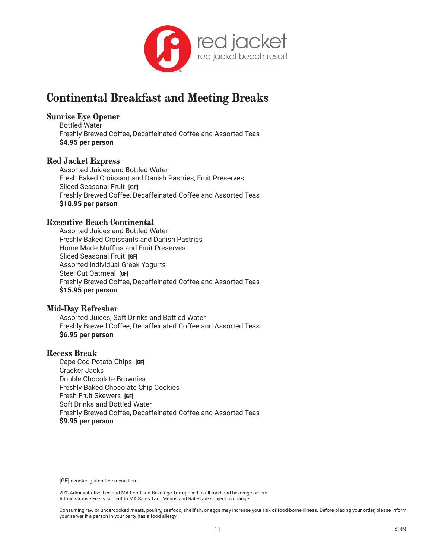

# **Continental Breakfast and Meeting Breaks**

## **Sunrise Eye Opener**

Bottled Water Freshly Brewed Coffee, Decaffeinated Coffee and Assorted Teas **\$4.95 per person**

## **Red Jacket Express**

Assorted Juices and Bottled Water Fresh Baked Croissant and Danish Pastries, Fruit Preserves Sliced Seasonal Fruit [GF] Freshly Brewed Coffee, Decaffeinated Coffee and Assorted Teas **\$10.95 per person**

## **Executive Beach Continental**

Assorted Juices and Bottled Water Freshly Baked Croissants and Danish Pastries Home Made Muffins and Fruit Preserves Sliced Seasonal Fruit **[GF]** Assorted Individual Greek Yogurts Steel Cut Oatmeal **[GF]** Freshly Brewed Coffee, Decaffeinated Coffee and Assorted Teas **\$15.95 per person**

## **Mid-Day Refresher**

Assorted Juices, Soft Drinks and Bottled Water Freshly Brewed Coffee, Decaffeinated Coffee and Assorted Teas **\$6.95 per person**

#### **Recess Break**

Cape Cod Potato Chips **[GF]** Cracker Jacks Double Chocolate Brownies Freshly Baked Chocolate Chip Cookies Fresh Fruit Skewers **[GF]** Soft Drinks and Bottled Water Freshly Brewed Coffee, Decaffeinated Coffee and Assorted Teas **\$9.95 per person**

[GF] denotes gluten free menu item

20% Administrative Fee and MA Food and Beverage Tax applied to all food and beverage orders. Administrative Fee is subject to MA Sales Tax. Menus and Rates are subject to change.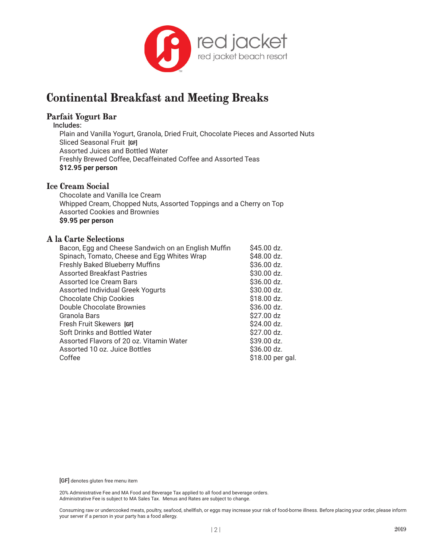

# **Continental Breakfast and Meeting Breaks**

## **Parfait Yogurt Bar**

Includes:

Plain and Vanilla Yogurt, Granola, Dried Fruit, Chocolate Pieces and Assorted Nuts Sliced Seasonal Fruit **[GF]** Assorted Juices and Bottled Water Freshly Brewed Coffee, Decaffeinated Coffee and Assorted Teas **\$12.95 per person**

## **Ice Cream Social**

Chocolate and Vanilla Ice Cream Whipped Cream, Chopped Nuts, Assorted Toppings and a Cherry on Top Assorted Cookies and Brownies **\$9.95 per person**

### **A la Carte Selections**

| Bacon, Egg and Cheese Sandwich on an English Muffin | \$45.00 dz.      |
|-----------------------------------------------------|------------------|
| Spinach, Tomato, Cheese and Egg Whites Wrap         | \$48.00 dz.      |
| <b>Freshly Baked Blueberry Muffins</b>              | \$36.00 dz.      |
| <b>Assorted Breakfast Pastries</b>                  | \$30.00 dz.      |
| Assorted Ice Cream Bars                             | \$36.00 dz.      |
| Assorted Individual Greek Yogurts                   | \$30.00 dz.      |
| <b>Chocolate Chip Cookies</b>                       | \$18.00 dz.      |
| Double Chocolate Brownies                           | \$36.00 dz.      |
| Granola Bars                                        | \$27.00 dz       |
| Fresh Fruit Skewers [GF]                            | \$24.00 dz.      |
| Soft Drinks and Bottled Water                       | \$27.00 dz.      |
| Assorted Flavors of 20 oz. Vitamin Water            | \$39.00 dz.      |
| Assorted 10 oz. Juice Bottles                       | \$36.00 dz.      |
| Coffee                                              | \$18.00 per gal. |
|                                                     |                  |

[GF] denotes gluten free menu item

20% Administrative Fee and MA Food and Beverage Tax applied to all food and beverage orders. Administrative Fee is subject to MA Sales Tax. Menus and Rates are subject to change.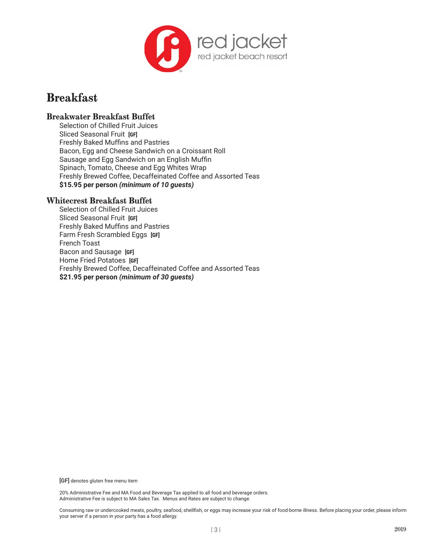

# **Breakfast**

## **Breakwater Breakfast Buffet**

Selection of Chilled Fruit Juices Sliced Seasonal Fruit **[GF]** Freshly Baked Muffins and Pastries Bacon, Egg and Cheese Sandwich on a Croissant Roll Sausage and Egg Sandwich on an English Muffin Spinach, Tomato, Cheese and Egg Whites Wrap Freshly Brewed Coffee, Decaffeinated Coffee and Assorted Teas **\$15.95 per person** *(minimum of 10 guests)*

## **Whitecrest Breakfast Buffet**

Selection of Chilled Fruit Juices Sliced Seasonal Fruit **[GF]** Freshly Baked Muffins and Pastries Farm Fresh Scrambled Eggs **[GF]** French Toast Bacon and Sausage **[GF]** Home Fried Potatoes **[GF]** Freshly Brewed Coffee, Decaffeinated Coffee and Assorted Teas **\$21.95 per person** *(minimum of 30 guests)*

[GF] denotes gluten free menu item

20% Administrative Fee and MA Food and Beverage Tax applied to all food and beverage orders. Administrative Fee is subject to MA Sales Tax. Menus and Rates are subject to change.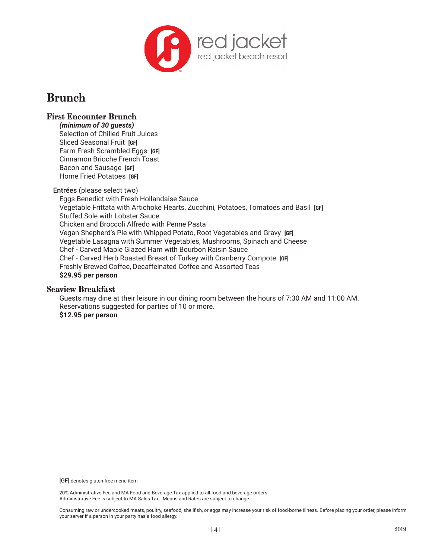

# **Brunch**

# **First Encounter Brunch**

*(minimum of 30 guests)*  Selection of Chilled Fruit Juices Sliced Seasonal Fruit **[GF]** Farm Fresh Scrambled Eggs **[GF]** Cinnamon Brioche French Toast Bacon and Sausage **[GF]** Home Fried Potatoes **[GF]**

Entrées (please select two)

Eggs Benedict with Fresh Hollandaise Sauce Vegetable Frittata with Artichoke Hearts, Zucchini, Potatoes, Tomatoes and Basil **[GF]** Stuffed Sole with Lobster Sauce Chicken and Broccoli Alfredo with Penne Pasta Vegan Shepherd's Pie with Whipped Potato, Root Vegetables and Gravy **[GF]** Vegetable Lasagna with Summer Vegetables, Mushrooms, Spinach and Cheese Chef - Carved Maple Glazed Ham with Bourbon Raisin Sauce Chef - Carved Herb Roasted Breast of Turkey with Cranberry Compote **[GF]** Freshly Brewed Coffee, Decaffeinated Coffee and Assorted Teas **\$29.95 per person**

#### **Seaview Breakfast**

Guests may dine at their leisure in our dining room between the hours of 7:30 AM and 11:00 AM. Reservations suggested for parties of 10 or more. **\$12.95 per person**

[GF] denotes gluten free menu item

20% Administrative Fee and MA Food and Beverage Tax applied to all food and beverage orders. Administrative Fee is subject to MA Sales Tax. Menus and Rates are subject to change.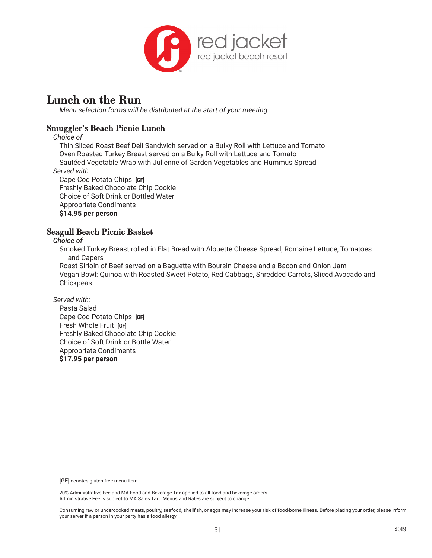

# **Lunch on the Run**

*Menu selection forms will be distributed at the start of your meeting.*

# **Smuggler's Beach Picnic Lunch**

*Choice of*

Thin Sliced Roast Beef Deli Sandwich served on a Bulky Roll with Lettuce and Tomato Oven Roasted Turkey Breast served on a Bulky Roll with Lettuce and Tomato Sautéed Vegetable Wrap with Julienne of Garden Vegetables and Hummus Spread *Served with:*

Cape Cod Potato Chips **[GF]**

Freshly Baked Chocolate Chip Cookie Choice of Soft Drink or Bottled Water Appropriate Condiments **\$14.95 per person**

## **Seagull Beach Picnic Basket**

*Choice of*

Smoked Turkey Breast rolled in Flat Bread with Alouette Cheese Spread, Romaine Lettuce, Tomatoes and Capers

Roast Sirloin of Beef served on a Baguette with Boursin Cheese and a Bacon and Onion Jam Vegan Bowl: Quinoa with Roasted Sweet Potato, Red Cabbage, Shredded Carrots, Sliced Avocado and **Chickpeas** 

*Served with:*

Pasta Salad Cape Cod Potato Chips **[GF]** Fresh Whole Fruit **[GF]** Freshly Baked Chocolate Chip Cookie Choice of Soft Drink or Bottle Water Appropriate Condiments **\$17.95 per person** 

[GF] denotes gluten free menu item

20% Administrative Fee and MA Food and Beverage Tax applied to all food and beverage orders. Administrative Fee is subject to MA Sales Tax. Menus and Rates are subject to change.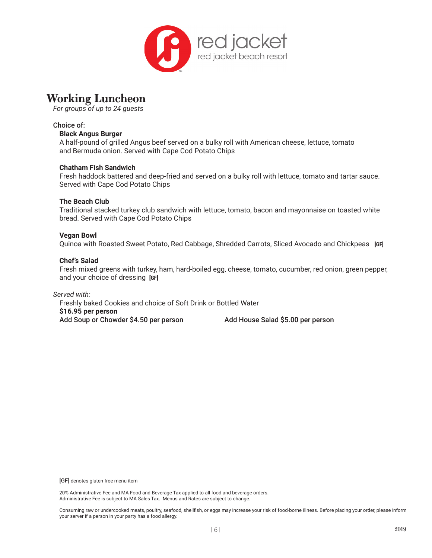

# **Working Luncheon**

*For groups of up to 24 guests*

### Choice of:

#### **Black Angus Burger**

A half-pound of grilled Angus beef served on a bulky roll with American cheese, lettuce, tomato and Bermuda onion. Served with Cape Cod Potato Chips

#### **Chatham Fish Sandwich**

Fresh haddock battered and deep-fried and served on a bulky roll with lettuce, tomato and tartar sauce. Served with Cape Cod Potato Chips

#### **The Beach Club**

Traditional stacked turkey club sandwich with lettuce, tomato, bacon and mayonnaise on toasted white bread. Served with Cape Cod Potato Chips

#### **Vegan Bowl**

Quinoa with Roasted Sweet Potato, Red Cabbage, Shredded Carrots, Sliced Avocado and Chickpeas **[GF]**

#### **Chef's Salad**

Fresh mixed greens with turkey, ham, hard-boiled egg, cheese, tomato, cucumber, red onion, green pepper, and your choice of dressing **[GF]**

#### *Served with:* Freshly baked Cookies and choice of Soft Drink or Bottled Water **\$16.95 per person**

Add Soup or Chowder \$4.50 per person Add House Salad \$5.00 per person

[GF] denotes gluten free menu item

20% Administrative Fee and MA Food and Beverage Tax applied to all food and beverage orders. Administrative Fee is subject to MA Sales Tax. Menus and Rates are subject to change.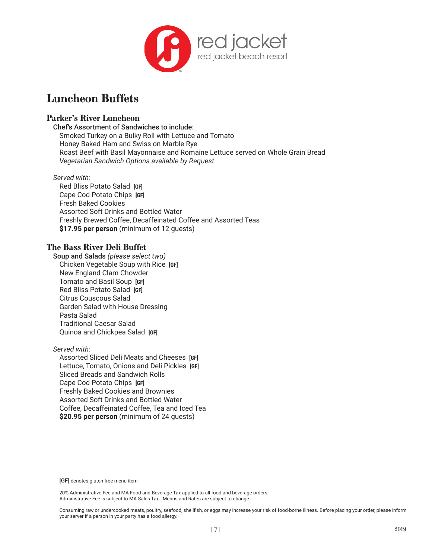

# **Luncheon Buffets**

### **Parker's River Luncheon**

Chef's Assortment of Sandwiches to include: Smoked Turkey on a Bulky Roll with Lettuce and Tomato Honey Baked Ham and Swiss on Marble Rye Roast Beef with Basil Mayonnaise and Romaine Lettuce served on Whole Grain Bread *Vegetarian Sandwich Options available by Request*

#### *Served with:*

Red Bliss Potato Salad **[GF]** Cape Cod Potato Chips **[GF]** Fresh Baked Cookies Assorted Soft Drinks and Bottled Water Freshly Brewed Coffee, Decaffeinated Coffee and Assorted Teas **\$17.95 per person** (minimum of 12 guests)

### **The Bass River Deli Buffet**

Soup and Salads *(please select two)* Chicken Vegetable Soup with Rice **[GF]** New England Clam Chowder Tomato and Basil Soup **[GF]** Red Bliss Potato Salad **[GF]** Citrus Couscous Salad Garden Salad with House Dressing Pasta Salad Traditional Caesar Salad Quinoa and Chickpea Salad **[GF]**

#### *Served with:*

Assorted Sliced Deli Meats and Cheeses **[GF]** Lettuce, Tomato, Onions and Deli Pickles **[GF]** Sliced Breads and Sandwich Rolls Cape Cod Potato Chips **[GF]** Freshly Baked Cookies and Brownies Assorted Soft Drinks and Bottled Water Coffee, Decaffeinated Coffee, Tea and Iced Tea **\$20.95 per person** (minimum of 24 guests)

[GF] denotes gluten free menu item

20% Administrative Fee and MA Food and Beverage Tax applied to all food and beverage orders. Administrative Fee is subject to MA Sales Tax. Menus and Rates are subject to change.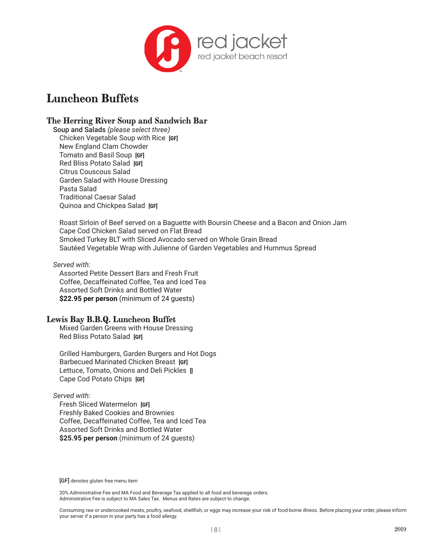

# **Luncheon Buffets**

## **The Herring River Soup and Sandwich Bar**

Soup and Salads *(please select three)* Chicken Vegetable Soup with Rice **[GF]** New England Clam Chowder Tomato and Basil Soup **[GF]** Red Bliss Potato Salad **[GF]** Citrus Couscous Salad Garden Salad with House Dressing Pasta Salad Traditional Caesar Salad Quinoa and Chickpea Salad **[GF]**

Roast Sirloin of Beef served on a Baguette with Boursin Cheese and a Bacon and Onion Jam Cape Cod Chicken Salad served on Flat Bread Smoked Turkey BLT with Sliced Avocado served on Whole Grain Bread Sautéed Vegetable Wrap with Julienne of Garden Vegetables and Hummus Spread

*Served with:*

Assorted Petite Dessert Bars and Fresh Fruit Coffee, Decaffeinated Coffee, Tea and Iced Tea Assorted Soft Drinks and Bottled Water **\$22.95 per person** (minimum of 24 guests)

## **Lewis Bay B.B.Q. Luncheon Buffet**

Mixed Garden Greens with House Dressing Red Bliss Potato Salad **[GF]**

Grilled Hamburgers, Garden Burgers and Hot Dogs Barbecued Marinated Chicken Breast **[GF]** Lettuce, Tomato, Onions and Deli Pickles **[]** Cape Cod Potato Chips **[GF]**

#### *Served with:*

Fresh Sliced Watermelon **[GF]** Freshly Baked Cookies and Brownies Coffee, Decaffeinated Coffee, Tea and Iced Tea Assorted Soft Drinks and Bottled Water **\$25.95 per person** (minimum of 24 guests)

[GF] denotes gluten free menu item

20% Administrative Fee and MA Food and Beverage Tax applied to all food and beverage orders. Administrative Fee is subject to MA Sales Tax. Menus and Rates are subject to change.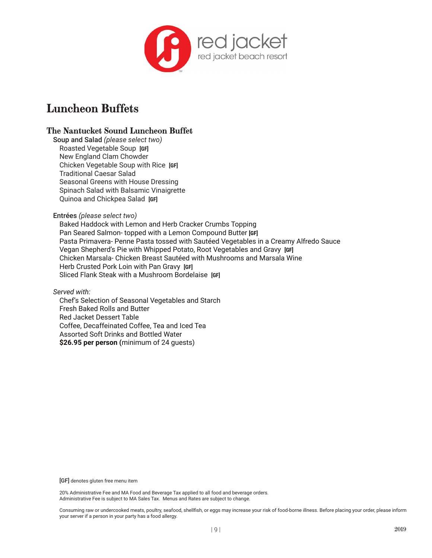

# **Luncheon Buffets**

## **The Nantucket Sound Luncheon Buffet**

Soup and Salad *(please select two)* Roasted Vegetable Soup **[GF]** New England Clam Chowder Chicken Vegetable Soup with Rice **[GF]** Traditional Caesar Salad Seasonal Greens with House Dressing Spinach Salad with Balsamic Vinaigrette Quinoa and Chickpea Salad **[GF]**

#### Entrées *(please select two)*

Baked Haddock with Lemon and Herb Cracker Crumbs Topping Pan Seared Salmon- topped with a Lemon Compound Butter **[GF]** Pasta Primavera- Penne Pasta tossed with Sautéed Vegetables in a Creamy Alfredo Sauce Vegan Shepherd's Pie with Whipped Potato, Root Vegetables and Gravy **[GF]** Chicken Marsala- Chicken Breast Sautéed with Mushrooms and Marsala Wine Herb Crusted Pork Loin with Pan Gravy **[GF]** Sliced Flank Steak with a Mushroom Bordelaise **[GF]**

*Served with:*

Chef's Selection of Seasonal Vegetables and Starch Fresh Baked Rolls and Butter Red Jacket Dessert Table Coffee, Decaffeinated Coffee, Tea and Iced Tea Assorted Soft Drinks and Bottled Water **\$26.95 per person (**minimum of 24 guests)

[GF] denotes gluten free menu item

20% Administrative Fee and MA Food and Beverage Tax applied to all food and beverage orders. Administrative Fee is subject to MA Sales Tax. Menus and Rates are subject to change.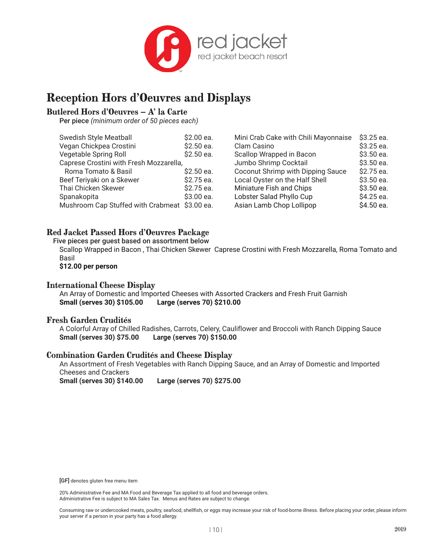

# **Reception Hors d'Oeuvres and Displays**

# **Butlered Hors d'Oeuvres – A' la Carte**

Per piece *(minimum order of 50 pieces each)*

| <b>Swedish Style Meatball</b>                 | \$2.00 ea.  | Mini Crab Cake with Chili Mayonnaise | \$3.25 ea.  |
|-----------------------------------------------|-------------|--------------------------------------|-------------|
| Vegan Chickpea Crostini                       | $$2.50$ ea. | Clam Casino                          | $$3.25$ ea. |
| Vegetable Spring Roll                         | \$2.50 ea.  | Scallop Wrapped in Bacon             | \$3.50 ea.  |
| Caprese Crostini with Fresh Mozzarella,       |             | Jumbo Shrimp Cocktail                | \$3.50 ea.  |
| Roma Tomato & Basil                           | $$2.50$ ea. | Coconut Shrimp with Dipping Sauce    | \$2.75 ea.  |
| Beef Teriyaki on a Skewer                     | \$2.75 ea.  | Local Oyster on the Half Shell       | \$3.50 ea.  |
| Thai Chicken Skewer                           | \$2.75 ea.  | Miniature Fish and Chips             | \$3.50 ea.  |
| Spanakopita                                   | \$3.00 ea.  | Lobster Salad Phyllo Cup             | \$4.25 ea.  |
| Mushroom Cap Stuffed with Crabmeat \$3.00 ea. |             | Asian Lamb Chop Lollipop             | \$4.50 ea.  |

## **Red Jacket Passed Hors d'Oeuvres Package**

Five pieces per guest based on assortment below Scallop Wrapped in Bacon , Thai Chicken Skewer Caprese Crostini with Fresh Mozzarella, Roma Tomato and Basil **\$12.00 per person**

#### **International Cheese Display**

An Array of Domestic and Imported Cheeses with Assorted Crackers and Fresh Fruit Garnish **Small (serves 30) \$105.00 Large (serves 70) \$210.00**

#### **Fresh Garden Crudités**

A Colorful Array of Chilled Radishes, Carrots, Celery, Cauliflower and Broccoli with Ranch Dipping Sauce **Small (serves 30) \$75.00 Large (serves 70) \$150.00** 

#### **Combination Garden Crudités and Cheese Display**

An Assortment of Fresh Vegetables with Ranch Dipping Sauce, and an Array of Domestic and Imported Cheeses and Crackers

**Small (serves 30) \$140.00 Large (serves 70) \$275.00**

20% Administrative Fee and MA Food and Beverage Tax applied to all food and beverage orders. Administrative Fee is subject to MA Sales Tax. Menus and Rates are subject to change.

<sup>[</sup>GF] denotes gluten free menu item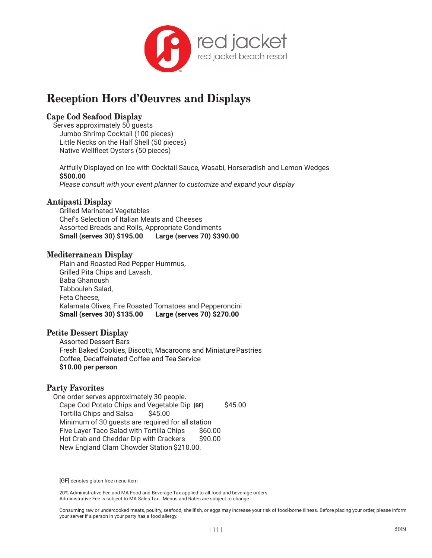

# **Reception Hors d'Oeuvres and Displays**

## **Cape Cod Seafood Display**

Serves approximately 50 guests Jumbo Shrimp Cocktail (100 pieces) Little Necks on the Half Shell (50 pieces) Native Wellfleet Oysters (50 pieces)

Artfully Displayed on Ice with Cocktail Sauce, Wasabi, Horseradish and Lemon Wedges **\$500.00** 

*Please consult with your event planner to customize and expand your display*

## **Antipasti Display**

Grilled Marinated Vegetables Chef's Selection of Italian Meats and Cheeses Assorted Breads and Rolls, Appropriate Condiments **Small (serves 30) \$195.00 Large (serves 70) \$390.00** 

### **Mediterranean Display**

Plain and Roasted Red Pepper Hummus, Grilled Pita Chips and Lavash, Baba Ghanoush Tabbouleh Salad, Feta Cheese, Kalamata Olives, Fire Roasted Tomatoes and Pepperoncini **Small (serves 30) \$135.00 Large (serves 70) \$270.00** 

#### **Petite Dessert Display**

Assorted Dessert Bars Fresh Baked Cookies, Biscotti, Macaroons and Miniature Pastries Coffee, Decaffeinated Coffee and Tea Service **\$10.00 per person**

## **Party Favorites**

One order serves approximately 30 people. Cape Cod Potato Chips and Vegetable Dip **[GF]** \$45.00 Tortilla Chips and Salsa \$45.00 Minimum of 30 guests are required for all station Five Layer Taco Salad with Tortilla Chips \$60.00 Hot Crab and Cheddar Dip with Crackers \$90.00 New England Clam Chowder Station \$210.00.

[GF] denotes gluten free menu item

20% Administrative Fee and MA Food and Beverage Tax applied to all food and beverage orders. Administrative Fee is subject to MA Sales Tax. Menus and Rates are subject to change.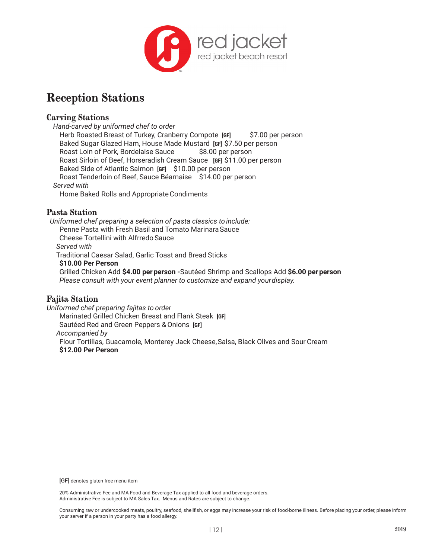

# **Reception Stations**

### **Carving Stations**

*Hand-carved by uniformed chef to order*

Herb Roasted Breast of Turkey, Cranberry Compote [GF] \$7.00 per person Baked Sugar Glazed Ham, House Made Mustard **[GF]** \$7.50 per person Roast Loin of Pork, Bordelaise Sauce \$8.00 per person Roast Sirloin of Beef, Horseradish Cream Sauce **[GF]** \$11.00 per person Baked Side of Atlantic Salmon **[GF]** \$10.00 per person Roast Tenderloin of Beef, Sauce Béarnaise \$14.00 per person *Served with* 

Home Baked Rolls and Appropriate Condiments

#### **Pasta Station**

*Uniformed chef preparing a selection of pasta classics to include:* Penne Pasta with Fresh Basil and Tomato Marinara Sauce Cheese Tortellini with Alfrredo Sauce *Served with*  Traditional Caesar Salad, Garlic Toast and Bread Sticks **\$10.00 Per Person** Grilled Chicken Add **\$4.00 per person -**Sautéed Shrimp and Scallops Add **\$6.00 per person**

*Please consult with your event planner to customize and expand your display.*

## **Fajita Station**

*Uniformed chef preparing fajitas to order* Marinated Grilled Chicken Breast and Flank Steak **[GF]** Sautéed Red and Green Peppers & Onions **[GF]** *Accompanied by*  Flour Tortillas, Guacamole, Monterey Jack Cheese, Salsa, Black Olives and Sour Cream **\$12.00 Per Person**

[GF] denotes gluten free menu item

20% Administrative Fee and MA Food and Beverage Tax applied to all food and beverage orders. Administrative Fee is subject to MA Sales Tax. Menus and Rates are subject to change.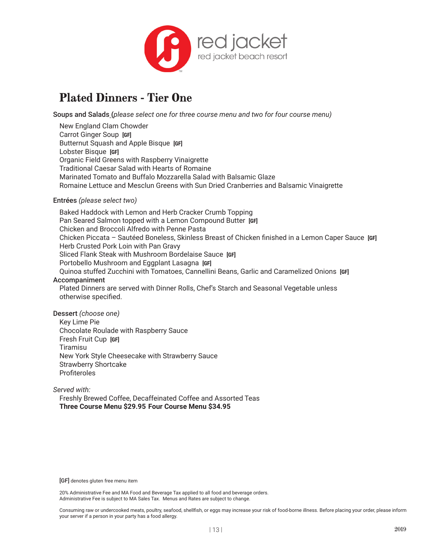

# **Plated Dinners - Tier One**

Soups and Salads **(***please select one for three course menu and two for four course menu)*

New England Clam Chowder Carrot Ginger Soup **[GF]** Butternut Squash and Apple Bisque **[GF]** Lobster Bisque **[GF]** Organic Field Greens with Raspberry Vinaigrette Traditional Caesar Salad with Hearts of Romaine Marinated Tomato and Buffalo Mozzarella Salad with Balsamic Glaze Romaine Lettuce and Mesclun Greens with Sun Dried Cranberries and Balsamic Vinaigrette

#### Entrées *(please select two)*

Baked Haddock with Lemon and Herb Cracker Crumb Topping Pan Seared Salmon topped with a Lemon Compound Butter **[GF]** Chicken and Broccoli Alfredo with Penne Pasta Chicken Piccata – Sautéed Boneless, Skinless Breast of Chicken finished in a Lemon Caper Sauce **[GF]** Herb Crusted Pork Loin with Pan Gravy Sliced Flank Steak with Mushroom Bordelaise Sauce **[GF]** Portobello Mushroom and Eggplant Lasagna **[GF]** Quinoa stuffed Zucchini with Tomatoes, Cannellini Beans, Garlic and Caramelized Onions **[GF]** Accompaniment Plated Dinners are served with Dinner Rolls, Chef's Starch and Seasonal Vegetable unless otherwise specified.

Dessert *(choose one)* Key Lime Pie Chocolate Roulade with Raspberry Sauce Fresh Fruit Cup **[GF]** Tiramisu New York Style Cheesecake with Strawberry Sauce Strawberry Shortcake Profiteroles

*Served with:*

Freshly Brewed Coffee, Decaffeinated Coffee and Assorted Teas **Three Course Menu \$29.95 Four Course Menu \$34.95**

[GF] denotes gluten free menu item

20% Administrative Fee and MA Food and Beverage Tax applied to all food and beverage orders. Administrative Fee is subject to MA Sales Tax. Menus and Rates are subject to change.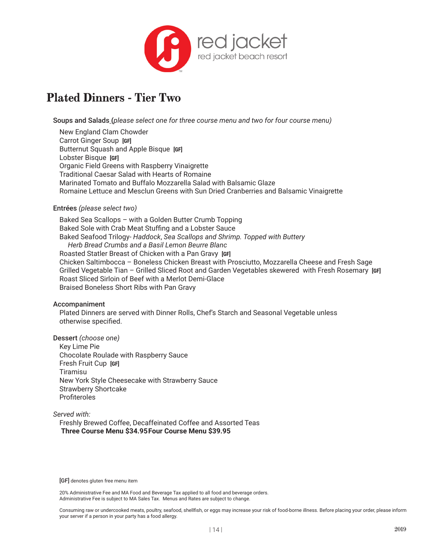

# **Plated Dinners - Tier Two**

Soups and Salads **(***please select one for three course menu and two for four course menu)*

New England Clam Chowder Carrot Ginger Soup **[GF]** Butternut Squash and Apple Bisque **[GF]** Lobster Bisque **[GF]** Organic Field Greens with Raspberry Vinaigrette Traditional Caesar Salad with Hearts of Romaine Marinated Tomato and Buffalo Mozzarella Salad with Balsamic Glaze Romaine Lettuce and Mesclun Greens with Sun Dried Cranberries and Balsamic Vinaigrette

#### Entrées *(please select two)*

Baked Sea Scallops – with a Golden Butter Crumb Topping Baked Sole with Crab Meat Stuffing and a Lobster Sauce Baked Seafood Trilogy- *Haddock*, *Sea Scallops and Shrimp. Topped with Buttery Herb Bread Crumbs and a Basil Lemon Beurre Blanc* Roasted Statler Breast of Chicken with a Pan Gravy **[GF]** Chicken Saltimbocca – Boneless Chicken Breast with Prosciutto, Mozzarella Cheese and Fresh Sage Grilled Vegetable Tian – Grilled Sliced Root and Garden Vegetables skewered with Fresh Rosemary **[GF]** Roast Sliced Sirloin of Beef with a Merlot Demi-Glace Braised Boneless Short Ribs with Pan Gravy

#### Accompaniment

Plated Dinners are served with Dinner Rolls, Chef's Starch and Seasonal Vegetable unless otherwise specified.

Dessert *(choose one)* Key Lime Pie Chocolate Roulade with Raspberry Sauce Fresh Fruit Cup **[GF]** Tiramisu New York Style Cheesecake with Strawberry Sauce Strawberry Shortcake Profiteroles

*Served with:* Freshly Brewed Coffee, Decaffeinated Coffee and Assorted Teas **Three Course Menu \$34.95Four Course Menu \$39.95**

[GF] denotes gluten free menu item

20% Administrative Fee and MA Food and Beverage Tax applied to all food and beverage orders. Administrative Fee is subject to MA Sales Tax. Menus and Rates are subject to change.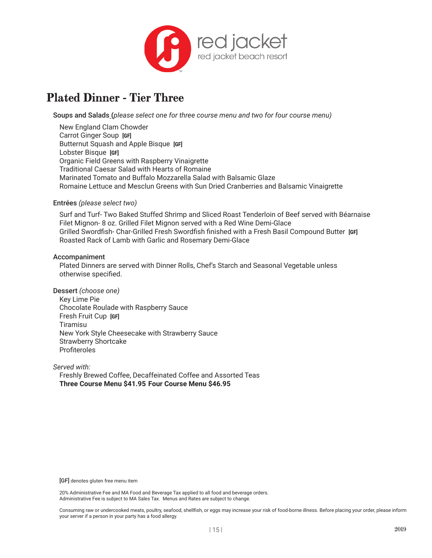

# **Plated Dinner - Tier Three**

Soups and Salads **(***please select one for three course menu and two for four course menu)*

New England Clam Chowder Carrot Ginger Soup **[GF]** Butternut Squash and Apple Bisque **[GF]** Lobster Bisque **[GF]** Organic Field Greens with Raspberry Vinaigrette Traditional Caesar Salad with Hearts of Romaine Marinated Tomato and Buffalo Mozzarella Salad with Balsamic Glaze Romaine Lettuce and Mesclun Greens with Sun Dried Cranberries and Balsamic Vinaigrette

#### Entrées *(please select two)*

Surf and Turf- Two Baked Stuffed Shrimp and Sliced Roast Tenderloin of Beef served with Béarnaise Filet Mignon- 8 oz. Grilled Filet Mignon served with a Red Wine Demi-Glace Grilled Swordfish- Char-Grilled Fresh Swordfish finished with a Fresh Basil Compound Butter **[GF]** Roasted Rack of Lamb with Garlic and Rosemary Demi-Glace

#### Accompaniment

Plated Dinners are served with Dinner Rolls, Chef's Starch and Seasonal Vegetable unless otherwise specified.

Dessert *(choose one)* Key Lime Pie Chocolate Roulade with Raspberry Sauce Fresh Fruit Cup **[GF]** Tiramisu New York Style Cheesecake with Strawberry Sauce Strawberry Shortcake Profiteroles

*Served with:* Freshly Brewed Coffee, Decaffeinated Coffee and Assorted Teas **Three Course Menu \$41.95 Four Course Menu \$46.95**

[GF] denotes gluten free menu item

20% Administrative Fee and MA Food and Beverage Tax applied to all food and beverage orders. Administrative Fee is subject to MA Sales Tax. Menus and Rates are subject to change.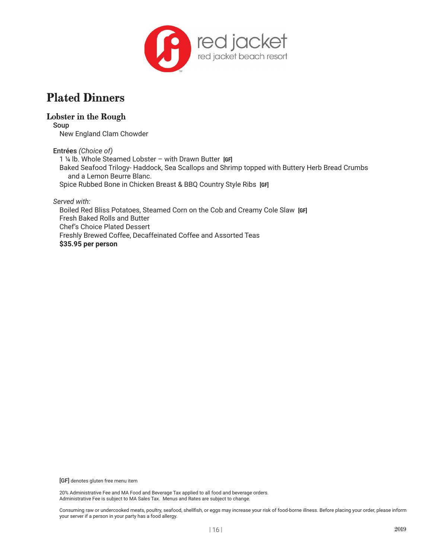

# **Plated Dinners**

# **Lobster in the Rough**

Soup New England Clam Chowder

Entrées *(Choice of)*

1 ¼ lb. Whole Steamed Lobster – with Drawn Butter**[GF]** Baked Seafood Trilogy- Haddock, Sea Scallops and Shrimp topped with Buttery Herb Bread Crumbs and a Lemon Beurre Blanc. Spice Rubbed Bone in Chicken Breast & BBQ Country Style Ribs **[GF]**

*Served with:*

Boiled Red Bliss Potatoes, Steamed Corn on the Cob and Creamy Cole Slaw **[GF]** Fresh Baked Rolls and Butter Chef's Choice Plated Dessert Freshly Brewed Coffee, Decaffeinated Coffee and Assorted Teas **\$35.95 per person** 

[GF] denotes gluten free menu item

20% Administrative Fee and MA Food and Beverage Tax applied to all food and beverage orders. Administrative Fee is subject to MA Sales Tax. Menus and Rates are subject to change.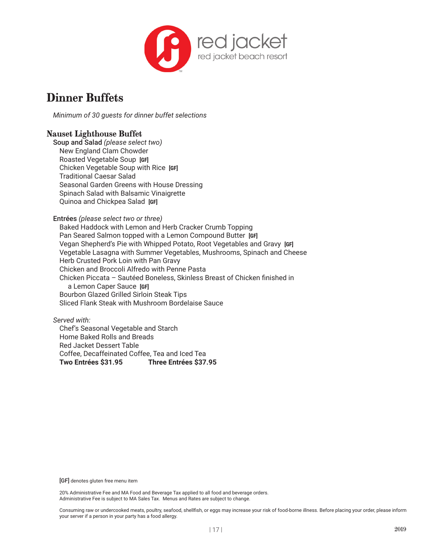

*Minimum of 30 guests for dinner buffet selections*

## **Nauset Lighthouse Buffet**

Soup and Salad *(please select two)* New England Clam Chowder Roasted Vegetable Soup **[GF]** Chicken Vegetable Soup with Rice **[GF]** Traditional Caesar Salad Seasonal Garden Greens with House Dressing Spinach Salad with Balsamic Vinaigrette Quinoa and Chickpea Salad **[GF]**

Entrées *(please select two or three)*

Baked Haddock with Lemon and Herb Cracker Crumb Topping Pan Seared Salmon topped with a Lemon Compound Butter **[GF]** Vegan Shepherd's Pie with Whipped Potato, Root Vegetables and Gravy **[GF]** Vegetable Lasagna with Summer Vegetables, Mushrooms, Spinach and Cheese Herb Crusted Pork Loin with Pan Gravy Chicken and Broccoli Alfredo with Penne Pasta Chicken Piccata – Sautéed Boneless, Skinless Breast of Chicken finished in a Lemon Caper Sauce **[GF]** Bourbon Glazed Grilled Sirloin Steak Tips Sliced Flank Steak with Mushroom Bordelaise Sauce

*Served with:* Chef's Seasonal Vegetable and Starch Home Baked Rolls and Breads Red Jacket Dessert Table Coffee, Decaffeinated Coffee, Tea and Iced Tea **Two Entrées \$31.95 Three Entrées \$37.95**

[GF] denotes gluten free menu item

20% Administrative Fee and MA Food and Beverage Tax applied to all food and beverage orders. Administrative Fee is subject to MA Sales Tax. Menus and Rates are subject to change.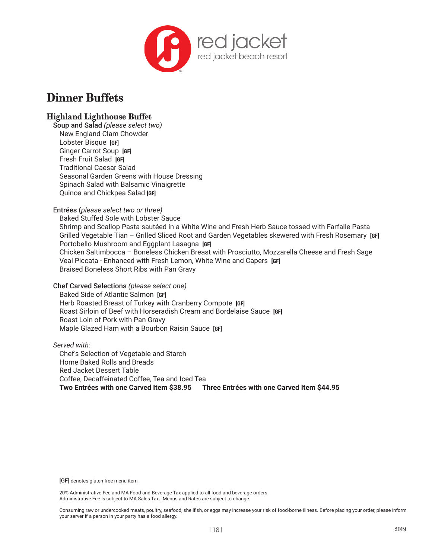

# **Highland Lighthouse Buffet**

Soup and Salad *(please select two)* New England Clam Chowder Lobster Bisque **[GF]** Ginger Carrot Soup **[GF]** Fresh Fruit Salad **[GF]** Traditional Caesar Salad Seasonal Garden Greens with House Dressing Spinach Salad with Balsamic Vinaigrette Quinoa and Chickpea Salad **[GF]**

Entrées (*please select two or three)*

Baked Stuffed Sole with Lobster Sauce Shrimp and Scallop Pasta sautéed in a White Wine and Fresh Herb Sauce tossed with Farfalle Pasta Grilled Vegetable Tian – Grilled Sliced Root and Garden Vegetables skewered with Fresh Rosemary **[GF]** Portobello Mushroom and Eggplant Lasagna **[GF]** Chicken Saltimbocca – Boneless Chicken Breast with Prosciutto, Mozzarella Cheese and Fresh Sage Veal Piccata - Enhanced with Fresh Lemon, White Wine and Capers **[GF]** Braised Boneless Short Ribs with Pan Gravy

Chef Carved Selections *(please select one)*

Baked Side of Atlantic Salmon **[GF]** Herb Roasted Breast of Turkey with Cranberry Compote **[GF]** Roast Sirloin of Beef with Horseradish Cream and Bordelaise Sauce **[GF]** Roast Loin of Pork with Pan Gravy Maple Glazed Ham with a Bourbon Raisin Sauce **[GF]**

*Served with:* Chef's Selection of Vegetable and Starch Home Baked Rolls and Breads Red Jacket Dessert Table Coffee, Decaffeinated Coffee, Tea and Iced Tea **Two Entrées with one Carved Item \$38.95 Three Entrées with one Carved Item \$44.95**

[GF] denotes gluten free menu item

20% Administrative Fee and MA Food and Beverage Tax applied to all food and beverage orders. Administrative Fee is subject to MA Sales Tax. Menus and Rates are subject to change.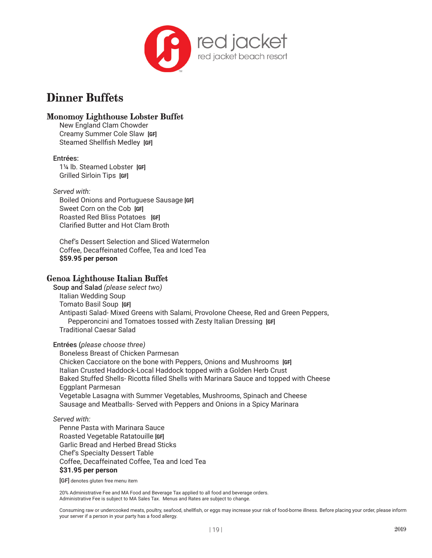

## **Monomoy Lighthouse Lobster Buffet**

New England Clam Chowder Creamy Summer Cole Slaw **[GF]** Steamed Shellfish Medley **[GF]**

#### Entrées:

1¼ lb. Steamed Lobster **[GF]** Grilled Sirloin Tips **[GF]**

#### *Served with:*

Boiled Onions and Portuguese Sausage **[GF]** Sweet Corn on the Cob **[GF]** Roasted Red Bliss Potatoes **[GF]** Clarified Butter and Hot Clam Broth

Chef's Dessert Selection and Sliced Watermelon Coffee, Decaffeinated Coffee, Tea and Iced Tea **\$59.95 per person**

### **Genoa Lighthouse Italian Buffet**

Soup and Salad *(please select two)* Italian Wedding Soup Tomato Basil Soup **[GF]** Antipasti Salad- Mixed Greens with Salami, Provolone Cheese, Red and Green Peppers, Pepperoncini and Tomatoes tossed with Zesty Italian Dressing **[GF]** Traditional Caesar Salad

#### Entrées (*please choose three)*

Boneless Breast of Chicken Parmesan Chicken Cacciatore on the bone with Peppers, Onions and Mushrooms **[GF]** Italian Crusted Haddock-Local Haddock topped with a Golden Herb Crust Baked Stuffed Shells- Ricotta filled Shells with Marinara Sauce and topped with Cheese Eggplant Parmesan Vegetable Lasagna with Summer Vegetables, Mushrooms, Spinach and Cheese Sausage and Meatballs- Served with Peppers and Onions in a Spicy Marinara

### *Served with:*

Penne Pasta with Marinara Sauce Roasted Vegetable Ratatouille **[GF]** Garlic Bread and Herbed Bread Sticks Chef's Specialty Dessert Table Coffee, Decaffeinated Coffee, Tea and Iced Tea **\$31.95 per person**

[GF] denotes gluten free menu item

20% Administrative Fee and MA Food and Beverage Tax applied to all food and beverage orders. Administrative Fee is subject to MA Sales Tax. Menus and Rates are subject to change.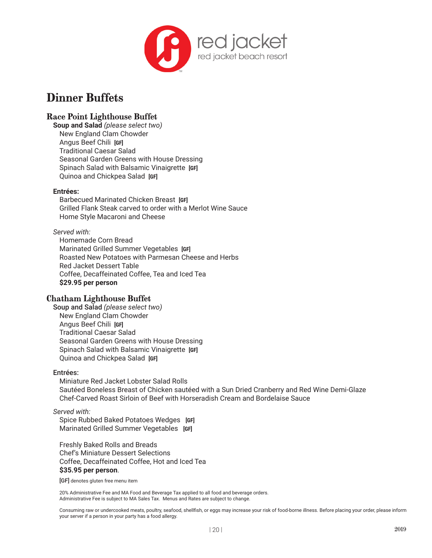

# **Race Point Lighthouse Buffet**

**Soup and Salad** *(please select two)* New England Clam Chowder Angus Beef Chili **[GF]** Traditional Caesar Salad Seasonal Garden Greens with House Dressing Spinach Salad with Balsamic Vinaigrette **[GF]** Quinoa and Chickpea Salad **[GF]**

#### **Entrées:**

Barbecued Marinated Chicken Breast **[GF]** Grilled Flank Steak carved to order with a Merlot Wine Sauce Home Style Macaroni and Cheese

#### *Served with:*

Homemade Corn Bread Marinated Grilled Summer Vegetables **[GF]** Roasted New Potatoes with Parmesan Cheese and Herbs Red Jacket Dessert Table Coffee, Decaffeinated Coffee, Tea and Iced Tea **\$29.95 per person**

## **Chatham Lighthouse Buffet**

Soup and Salad *(please select two)* New England Clam Chowder Angus Beef Chili **[GF]** Traditional Caesar Salad Seasonal Garden Greens with House Dressing Spinach Salad with Balsamic Vinaigrette **[GF]** Quinoa and Chickpea Salad **[GF]**

#### Entrées:

Miniature Red Jacket Lobster Salad Rolls Sautéed Boneless Breast of Chicken sautéed with a Sun Dried Cranberry and Red Wine Demi-Glaze Chef-Carved Roast Sirloin of Beef with Horseradish Cream and Bordelaise Sauce

#### *Served with:*

Spice Rubbed Baked Potatoes Wedges **[GF]** Marinated Grilled Summer Vegetables **[GF]**

Freshly Baked Rolls and Breads Chef's Miniature Dessert Selections Coffee, Decaffeinated Coffee, Hot and Iced Tea **\$35.95 per person**.

[GF] denotes gluten free menu item

20% Administrative Fee and MA Food and Beverage Tax applied to all food and beverage orders. Administrative Fee is subject to MA Sales Tax. Menus and Rates are subject to change.